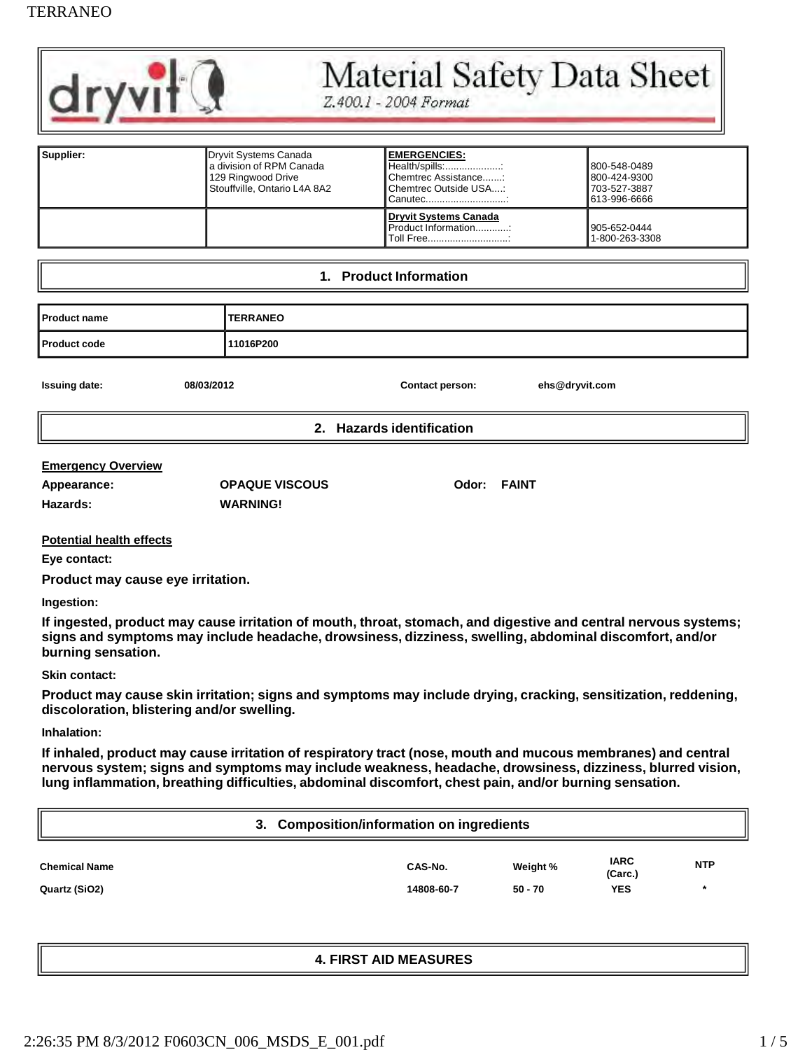## TERRANEO



## Material Safety Data Sheet

Z.400.1 - 2004 Format

| Supplier: | Dryvit Systems Canada<br>a division of RPM Canada<br>129 Ringwood Drive<br>Stouffville, Ontario L4A 8A2 | <b>IEMERGENCIES:</b><br>Health/spills::<br>Chemtrec Assistance:<br>Chemtrec Outside USA:<br>Canutec | 800-548-0489<br>800-424-9300<br>703-527-3887<br>613-996-6666 |
|-----------|---------------------------------------------------------------------------------------------------------|-----------------------------------------------------------------------------------------------------|--------------------------------------------------------------|
|           |                                                                                                         | Dryvit Systems Canada<br>Product Information:<br>Toll Free                                          | 905-652-0444<br>1-800-263-3308                               |

#### **1. Product Information**

| <b>I</b> Product name | <b>TERRANEO</b> |
|-----------------------|-----------------|
| <b>Product code</b>   | 11016P200       |

| <b>Issuing date:</b>      | 08/03/2012 | <b>Contact person:</b>    | ehs@dryvit.com |
|---------------------------|------------|---------------------------|----------------|
| II                        |            | 2. Hazards identification |                |
| <b>Emergency Overview</b> |            |                           |                |

| Hazards: |  |  |
|----------|--|--|
|          |  |  |

**Appearance: OPAQUE VISCOUS Odor: FAINT Hazards: WARNING!**

**Potential health effects**

**Eye contact:**

**Product may cause eye irritation.**

**Ingestion:**

**If ingested, product may cause irritation of mouth, throat, stomach, and digestive and central nervous systems; signs and symptoms may include headache, drowsiness, dizziness, swelling, abdominal discomfort, and/or burning sensation.**

#### **Skin contact:**

**Product may cause skin irritation; signs and symptoms may include drying, cracking, sensitization, reddening, discoloration, blistering and/or swelling.**

#### **Inhalation:**

**If inhaled, product may cause irritation of respiratory tract (nose, mouth and mucous membranes) and central nervous system; signs and symptoms may include weakness, headache, drowsiness, dizziness, blurred vision, lung inflammation, breathing difficulties, abdominal discomfort, chest pain, and/or burning sensation.**

| 3. Composition/information on ingredients |            |           |                        |            |
|-------------------------------------------|------------|-----------|------------------------|------------|
| <b>Chemical Name</b>                      | CAS-No.    | Weight %  | <b>IARC</b><br>(Carc.) | <b>NTP</b> |
| Quartz (SiO2)                             | 14808-60-7 | $50 - 70$ | <b>YES</b>             | *          |

## **4. FIRST AID MEASURES**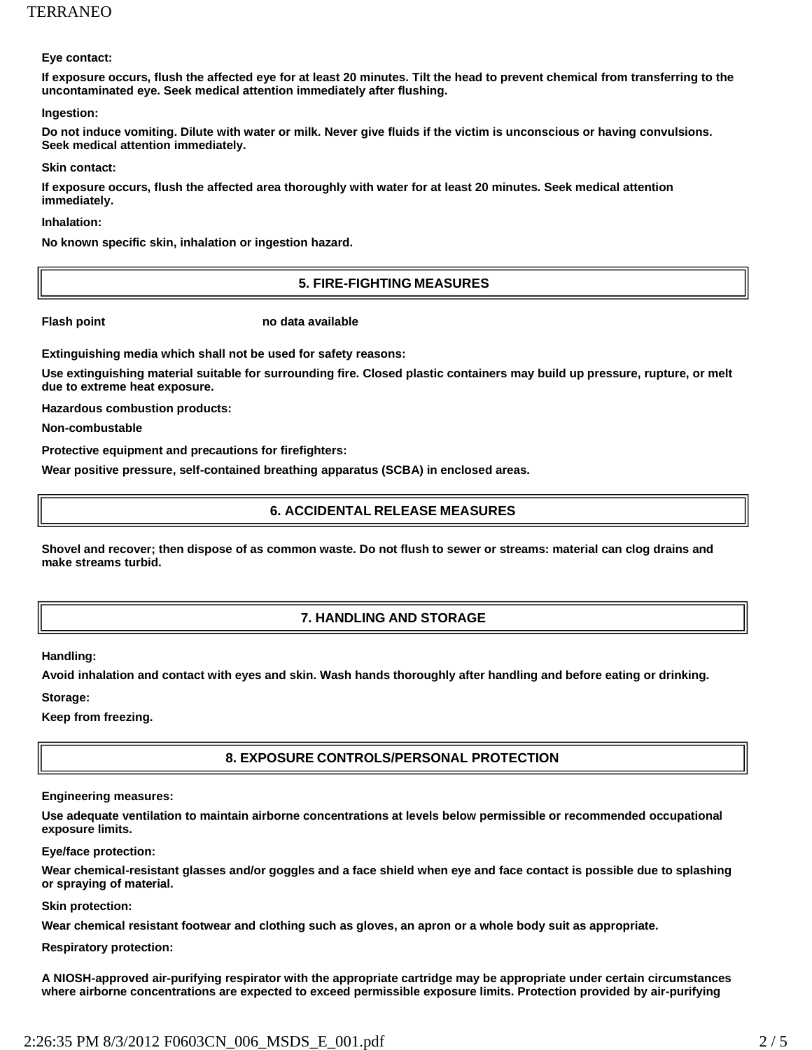**Eye contact:**

**If exposure occurs, flush the affected eye for at least 20 minutes. Tilt the head to prevent chemical from transferring to the uncontaminated eye. Seek medical attention immediately after flushing.**

**Ingestion:**

**Do not induce vomiting. Dilute with water or milk. Never give fluids if the victim is unconscious or having convulsions. Seek medical attention immediately.**

**Skin contact:**

**If exposure occurs, flush the affected area thoroughly with water for at least 20 minutes. Seek medical attention immediately.**

**Inhalation:**

**No known specific skin, inhalation or ingestion hazard.**

## **5. FIRE-FIGHTING MEASURES**

**Flash point in the case of the case of the case of the case of the case of the case of the case of the case of the case of the case of the case of the case of the case of the case of the case of the case of the case of th** 

**Extinguishing media which shall not be used for safety reasons:**

**Use extinguishing material suitable for surrounding fire. Closed plastic containers may build up pressure, rupture, or melt due to extreme heat exposure.**

**Hazardous combustion products:** 

**Non-combustable**

**Protective equipment and precautions for firefighters:**

**Wear positive pressure, self-contained breathing apparatus (SCBA) in enclosed areas.**

#### **6. ACCIDENTAL RELEASE MEASURES**

**Shovel and recover; then dispose of as common waste. Do not flush to sewer or streams: material can clog drains and make streams turbid.**

## **7. HANDLING AND STORAGE**

**Handling:**

**Avoid inhalation and contact with eyes and skin. Wash hands thoroughly after handling and before eating or drinking.** 

**Storage:**

**Keep from freezing.**

## **8. EXPOSURE CONTROLS/PERSONAL PROTECTION**

#### **Engineering measures:**

**Use adequate ventilation to maintain airborne concentrations at levels below permissible or recommended occupational exposure limits.**

**Eye/face protection:**

**Wear chemical-resistant glasses and/or goggles and a face shield when eye and face contact is possible due to splashing or spraying of material.**

#### **Skin protection:**

**Wear chemical resistant footwear and clothing such as gloves, an apron or a whole body suit as appropriate.** 

**Respiratory protection:**

**A NIOSH-approved air-purifying respirator with the appropriate cartridge may be appropriate under certain circumstances where airborne concentrations are expected to exceed permissible exposure limits. Protection provided by air-purifying**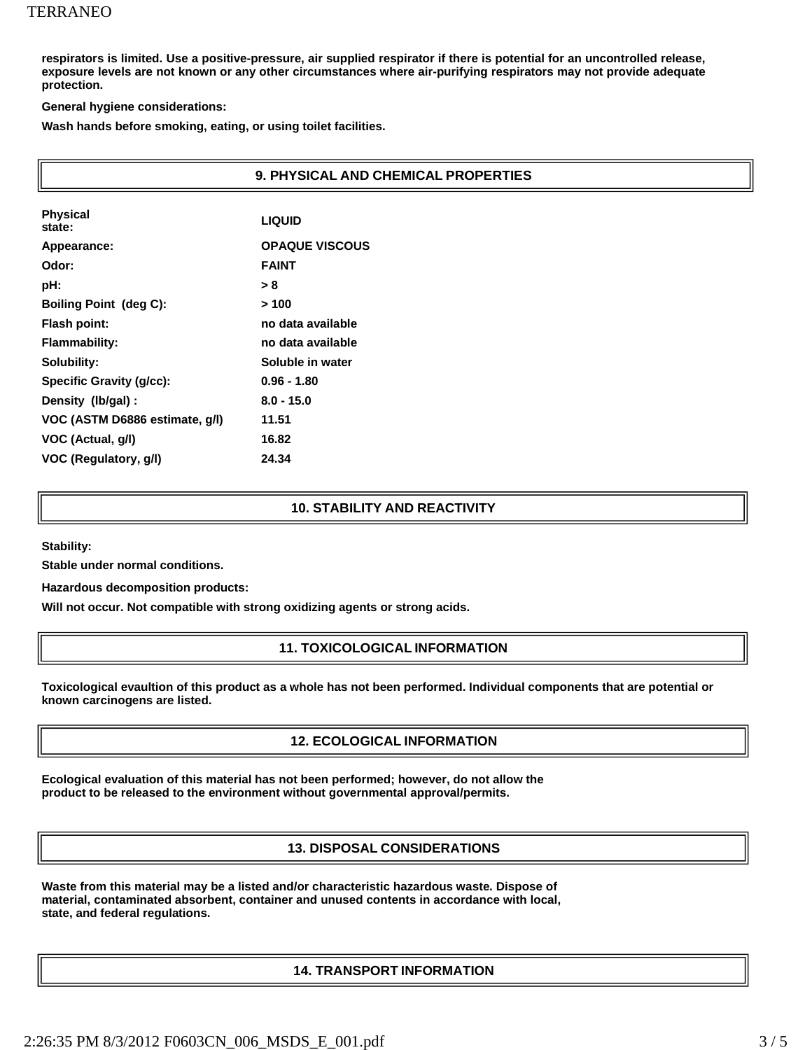**respirators is limited. Use a positive-pressure, air supplied respirator if there is potential for an uncontrolled release, exposure levels are not known or any other circumstances where air-purifying respirators may not provide adequate protection.**

**General hygiene considerations:**

**Wash hands before smoking, eating, or using toilet facilities.**

| 9. PHYSICAL AND CHEMICAL PROPERTIES |                       |  |
|-------------------------------------|-----------------------|--|
| <b>Physical</b><br>state:           | <b>LIQUID</b>         |  |
| Appearance:                         | <b>OPAQUE VISCOUS</b> |  |
| Odor:                               | <b>FAINT</b>          |  |
| pH:                                 | > 8                   |  |
| <b>Boiling Point (deg C):</b>       | >100                  |  |
| Flash point:                        | no data available     |  |
| <b>Flammability:</b>                | no data available     |  |
| Solubility:                         | Soluble in water      |  |
| <b>Specific Gravity (g/cc):</b>     | $0.96 - 1.80$         |  |
| Density (lb/gal) :                  | $8.0 - 15.0$          |  |
| VOC (ASTM D6886 estimate, g/l)      | 11.51                 |  |
| VOC (Actual, g/l)                   | 16.82                 |  |
| VOC (Regulatory, g/l)               | 24.34                 |  |

#### **10. STABILITY AND REACTIVITY**

**Stability:**

**Stable under normal conditions.** 

**Hazardous decomposition products:**

**Will not occur. Not compatible with strong oxidizing agents or strong acids.**

#### **11. TOXICOLOGICAL INFORMATION**

**Toxicological evaultion of this product as a whole has not been performed. Individual components that are potential or known carcinogens are listed.**

#### **12. ECOLOGICAL INFORMATION**

**Ecological evaluation of this material has not been performed; however, do not allow the product to be released to the environment without governmental approval/permits.**

#### **13. DISPOSAL CONSIDERATIONS**

**Waste from this material may be a listed and/or characteristic hazardous waste. Dispose of material, contaminated absorbent, container and unused contents in accordance with local, state, and federal regulations.**

#### **14. TRANSPORT INFORMATION**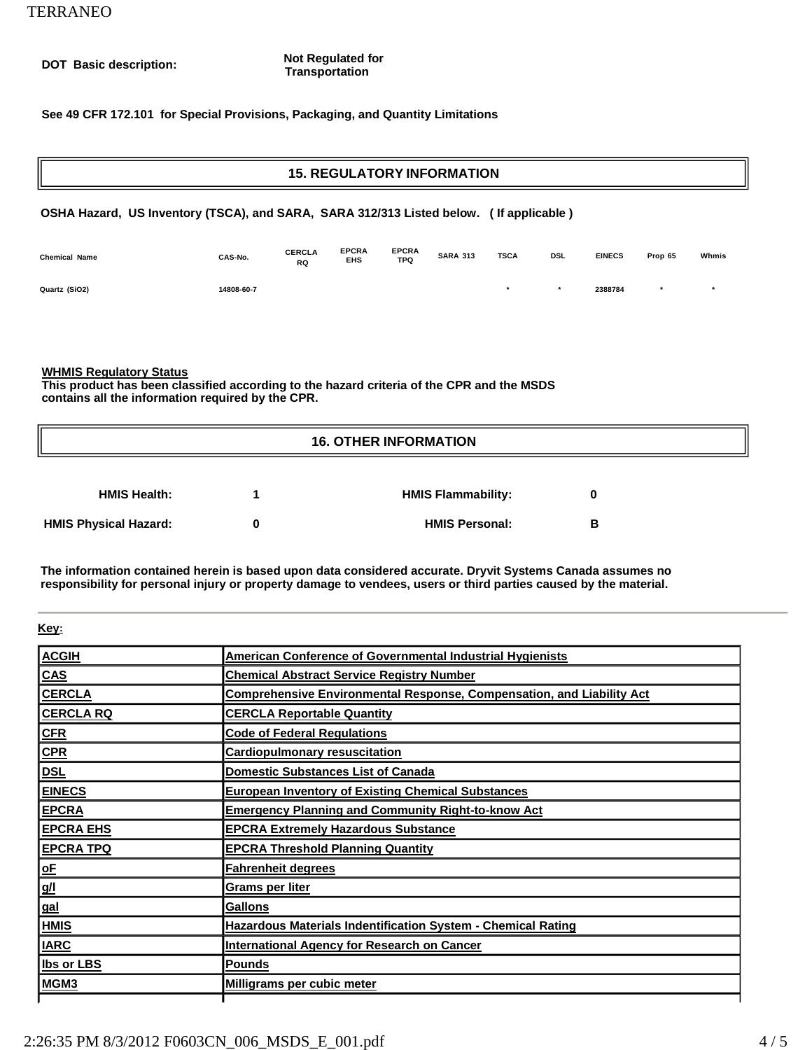#### **DOT Basic description: Not Regulated for**<br> **DOT Basic description: Not Regulated for Transportation**

#### **See 49 CFR 172.101 for Special Provisions, Packaging, and Quantity Limitations**

# **15. REGULATORY INFORMATION OSHA Hazard, US Inventory (TSCA), and SARA, SARA 312/313 Listed below. ( If applicable )**

| <b>Chemical Name</b> | CAS-No.    | <b>CERCLA</b><br><b>RQ</b> | <b>EPCRA</b><br>EHS | <b>EPCRA</b><br><b>TPQ</b> | <b>SARA 313</b> | <b>TSCA</b> | DSL | <b>EINECS</b> | Prop 65 | Whmis |
|----------------------|------------|----------------------------|---------------------|----------------------------|-----------------|-------------|-----|---------------|---------|-------|
| Quartz (SiO2)        | 14808-60-7 |                            |                     |                            |                 |             |     | 2388784       |         |       |

#### **WHMIS Regulatory Status**

**This product has been classified according to the hazard criteria of the CPR and the MSDS contains all the information required by the CPR.**

## **16. OTHER INFORMATION**

| <b>HMIS Health:</b>          | <b>HMIS Flammability:</b> |   |
|------------------------------|---------------------------|---|
| <b>HMIS Physical Hazard:</b> | <b>HMIS Personal:</b>     | в |

**The information contained herein is based upon data considered accurate. Dryvit Systems Canada assumes no responsibility for personal injury or property damage to vendees, users or third parties caused by the material.**

#### **Key:**

| <b>ACGIH</b>      | American Conference of Governmental Industrial Hygienists                    |
|-------------------|------------------------------------------------------------------------------|
| <b>CAS</b>        | <b>Chemical Abstract Service Registry Number</b>                             |
| <b>CERCLA</b>     | <b>Comprehensive Environmental Response, Compensation, and Liability Act</b> |
| <b>CERCLA RQ</b>  | <b>CERCLA Reportable Quantity</b>                                            |
| <u>CFR</u>        | <b>Code of Federal Regulations</b>                                           |
| CPR               | <b>Cardiopulmonary resuscitation</b>                                         |
| <u>DSL</u>        | <b>Domestic Substances List of Canada</b>                                    |
| <b>EINECS</b>     | <b>European Inventory of Existing Chemical Substances</b>                    |
| <u>EPCRA</u>      | <b>Emergency Planning and Community Right-to-know Act</b>                    |
| <b>EPCRA EHS</b>  | <b>EPCRA Extremely Hazardous Substance</b>                                   |
| <b>EPCRA TPQ</b>  | <b>EPCRA Threshold Planning Quantity</b>                                     |
| <u>oF</u>         | <b>Fahrenheit degrees</b>                                                    |
| <u>g/l</u>        | Grams per liter                                                              |
| <u>gal</u>        | <b>Gallons</b>                                                               |
| HMIS              | Hazardous Materials Indentification System - Chemical Rating                 |
| <b>IARC</b>       | <b>International Agency for Research on Cancer</b>                           |
| <b>Ibs or LBS</b> | <b>Pounds</b>                                                                |
| MGM <sub>3</sub>  | Milligrams per cubic meter                                                   |
|                   |                                                                              |